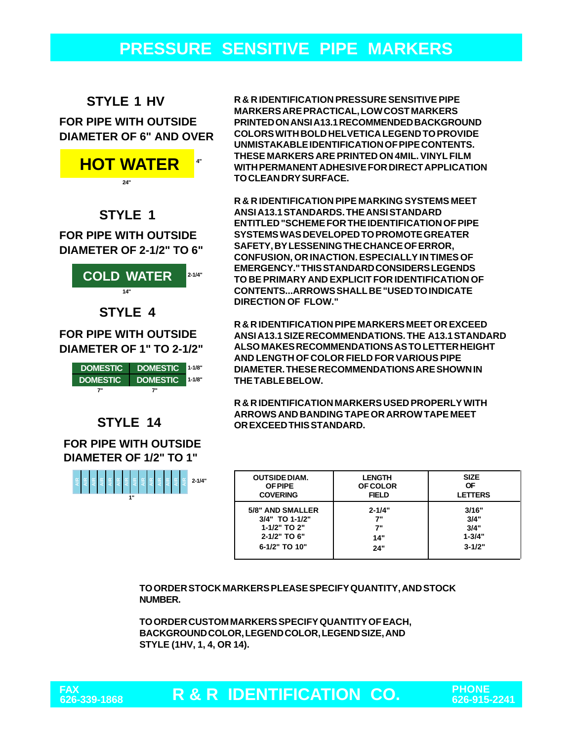## **PRESSURE SENSITIVE PIPE MARKERS**

#### **STYLE 1 HV**

#### **FOR PIPE WITH OUTSIDE DIAMETER OF 6" AND OVER**



#### **STYLE 1**

**DIAMETER OF 2-1/2" TO 6" FOR PIPE WITH OUTSIDE**



**DIAMETER OF 1" TO 2-1/2"**



#### **STYLE 14**

**DIAMETER OF 1/2" TO 1" FOR PIPE WITH OUTSIDE**



**R & R IDENTIFICATION PRESSURE SENSITIVE PIPE MARKERS ARE PRACTICAL, LOW COST MARKERS PRINTED ON ANSI A13.1 RECOMMENDED BACKGROUND COLORS WITH BOLD HELVETICA LEGEND TO PROVIDE UNMISTAKABLE IDENTIFICATION OF PIPE CONTENTS. THESE MARKERS ARE PRINTED ON 4MIL. VINYL FILM WITH PERMANENT ADHESIVE FOR DIRECT APPLICATION TO CLEAN DRY SURFACE.**

**R & R IDENTIFICATION PIPE MARKING SYSTEMS MEET ANSI A13.1 STANDARDS. THE ANSI STANDARD ENTITLED "SCHEME FOR THE IDENTIFICATION OF PIPE SYSTEMS WAS DEVELOPED TO PROMOTE GREATER SAFETY, BY LESSENING THE CHANCE OF ERROR, CONFUSION, OR INACTION. ESPECIALLY IN TIMES OF EMERGENCY." THIS STANDARD CONSIDERS LEGENDS TO BE PRIMARY AND EXPLICIT FOR IDENTIFICATION OF CONTENTS...ARROWS SHALL BE "USED TO INDICATE DIRECTION OF FLOW."**

**R & R IDENTIFICATION PIPE MARKERS MEET OR EXCEED ANSI A13.1 SIZE RECOMMENDATIONS. THE A13.1 STANDARD ALSO MAKES RECOMMENDATIONS AS TO LETTER HEIGHT AND LENGTH OF COLOR FIELD FOR VARIOUS PIPE DIAMETER. THESE RECOMMENDATIONS ARE SHOWN IN THE TABLE BELOW.**

**R & R IDENTIFICATION MARKERS USED PROPERLY WITH ARROWS AND BANDING TAPE OR ARROW TAPE MEET OR EXCEED THIS STANDARD.**

| <b>OUTSIDE DIAM.</b> | <b>LENGTH</b>   | <b>SIZE</b>    |
|----------------------|-----------------|----------------|
| <b>OF PIPE</b>       | <b>OF COLOR</b> | ΟF             |
| <b>COVERING</b>      | <b>FIELD</b>    | <b>LETTERS</b> |
| 5/8" AND SMALLER     | $2 - 1/4"$      | 3/16"          |
| 3/4" TO 1-1/2"       | 7"              | 3/4"           |
| 1-1/2" TO 2"         | 7"              | 3/4"           |
| 2-1/2" TO 6"         | 14"             | $1 - 3/4"$     |
| 6-1/2" TO 10"        | 24"             | $3 - 1/2"$     |

**TO ORDER STOCK MARKERS PLEASE SPECIFY QUANTITY, AND STOCK NUMBER.**

**TO ORDER CUSTOM MARKERS SPECIFY QUANTITY OF EACH, BACKGROUND COLOR, LEGEND COLOR, LEGEND SIZE, AND STYLE (1HV, 1, 4, OR 14).**

**R & R IDENTIFICATION CO. PHONE 626-339-1868 626-915-2241**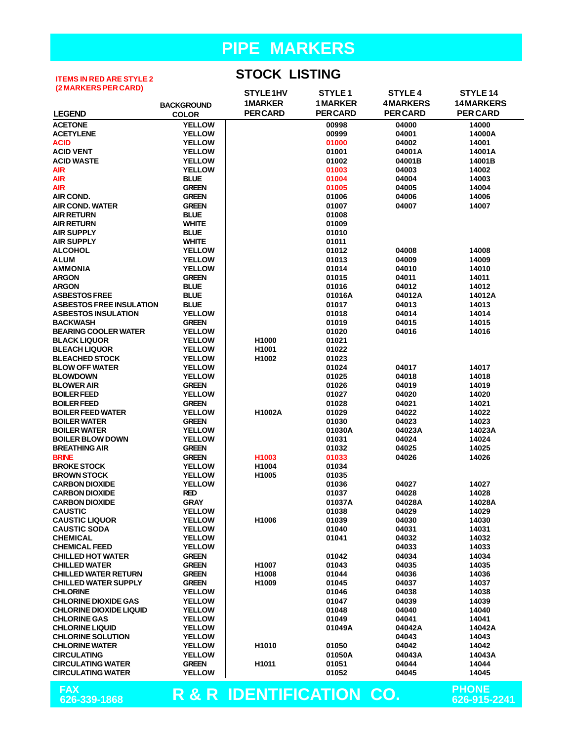#### **ITEMS IN RED ARE STYLE 2 (2 MARKERS PER CARD)**

**STOCK LISTING**

| (Z MARRERS FER UARD)            |                   | STYLE 1HV                           | STYLE <sub>1</sub> | <b>STYLE 4</b>  | STYLE 14          |
|---------------------------------|-------------------|-------------------------------------|--------------------|-----------------|-------------------|
|                                 | <b>BACKGROUND</b> | <b>1MARKER</b>                      | <b>1 MARKER</b>    | <b>4MARKERS</b> | <b>14 MARKERS</b> |
| <b>LEGEND</b>                   | <b>COLOR</b>      | <b>PERCARD</b>                      | <b>PERCARD</b>     | <b>PER CARD</b> | <b>PER CARD</b>   |
| <b>ACETONE</b>                  | <b>YELLOW</b>     |                                     | 00998              | 04000           | 14000             |
| <b>ACETYLENE</b>                | <b>YELLOW</b>     |                                     | 00999              | 04001           | 14000A            |
| <b>ACID</b>                     | <b>YELLOW</b>     |                                     | 01000              | 04002           | 14001             |
| <b>ACID VENT</b>                | <b>YELLOW</b>     |                                     | 01001              | 04001A          | 14001A            |
| <b>ACID WASTE</b>               | <b>YELLOW</b>     |                                     | 01002              | 04001B          | 14001B            |
| <b>AIR</b>                      | <b>YELLOW</b>     |                                     | 01003              | 04003           | 14002             |
| <b>AIR</b>                      | <b>BLUE</b>       |                                     | 01004              | 04004           | 14003             |
| <b>AIR</b>                      | <b>GREEN</b>      |                                     | 01005              | 04005           | 14004             |
| <b>AIR COND.</b>                | <b>GREEN</b>      |                                     | 01006              | 04006           | 14006             |
| <b>AIR COND. WATER</b>          | <b>GREEN</b>      |                                     | 01007              | 04007           | 14007             |
| <b>AIR RETURN</b>               | <b>BLUE</b>       |                                     | 01008              |                 |                   |
| <b>AIR RETURN</b>               | <b>WHITE</b>      |                                     | 01009              |                 |                   |
| <b>AIR SUPPLY</b>               | <b>BLUE</b>       |                                     | 01010              |                 |                   |
| <b>AIR SUPPLY</b>               | <b>WHITE</b>      |                                     | 01011              |                 |                   |
| <b>ALCOHOL</b>                  | <b>YELLOW</b>     |                                     | 01012              | 04008           | 14008             |
| <b>ALUM</b>                     | <b>YELLOW</b>     |                                     | 01013              | 04009           | 14009             |
| <b>AMMONIA</b>                  | <b>YELLOW</b>     |                                     | 01014              | 04010           | 14010             |
| <b>ARGON</b>                    | <b>GREEN</b>      |                                     | 01015              | 04011           | 14011             |
| <b>ARGON</b>                    | <b>BLUE</b>       |                                     | 01016              | 04012           | 14012             |
| <b>ASBESTOS FREE</b>            | <b>BLUE</b>       |                                     | 01016A             | 04012A          | 14012A            |
| <b>ASBESTOS FREE INSULATION</b> | <b>BLUE</b>       |                                     | 01017              | 04013           | 14013             |
| <b>ASBESTOS INSULATION</b>      | <b>YELLOW</b>     |                                     | 01018              | 04014           | 14014             |
| <b>BACKWASH</b>                 | <b>GREEN</b>      |                                     | 01019              | 04015           | 14015             |
| <b>BEARING COOLER WATER</b>     | <b>YELLOW</b>     |                                     | 01020              | 04016           | 14016             |
| <b>BLACK LIQUOR</b>             | <b>YELLOW</b>     | H1000                               | 01021              |                 |                   |
| <b>BLEACH LIQUOR</b>            | <b>YELLOW</b>     | H1001                               | 01022              |                 |                   |
| <b>BLEACHED STOCK</b>           | <b>YELLOW</b>     | H1002                               | 01023              |                 |                   |
| <b>BLOW OFF WATER</b>           | <b>YELLOW</b>     |                                     | 01024              | 04017           | 14017             |
| <b>BLOWDOWN</b>                 | <b>YELLOW</b>     |                                     | 01025              | 04018           | 14018             |
| <b>BLOWER AIR</b>               | <b>GREEN</b>      |                                     | 01026              | 04019           | 14019             |
| <b>BOILER FEED</b>              | <b>YELLOW</b>     |                                     | 01027              | 04020           | 14020             |
| <b>BOILER FEED</b>              | <b>GREEN</b>      |                                     | 01028              | 04021           | 14021             |
| <b>BOILER FEED WATER</b>        | <b>YELLOW</b>     | H1002A                              | 01029              | 04022           | 14022             |
| <b>BOILER WATER</b>             | <b>GREEN</b>      |                                     | 01030              | 04023           | 14023             |
| <b>BOILER WATER</b>             | <b>YELLOW</b>     |                                     | 01030A             | 04023A          | 14023A            |
| <b>BOILER BLOW DOWN</b>         | <b>YELLOW</b>     |                                     | 01031              | 04024           | 14024             |
| <b>BREATHING AIR</b>            | <b>GREEN</b>      |                                     | 01032              | 04025           | 14025             |
| <b>BRINE</b>                    | <b>GREEN</b>      | H <sub>1003</sub>                   | 01033              | 04026           | 14026             |
| <b>BROKE STOCK</b>              | <b>YELLOW</b>     | H1004                               | 01034              |                 |                   |
| <b>BROWN STOCK</b>              | <b>YELLOW</b>     | H1005                               | 01035              |                 |                   |
| <b>CARBON DIOXIDE</b>           | <b>YELLOW</b>     |                                     | 01036              | 04027           | 14027             |
| <b>CARBON DIOXIDE</b>           | <b>RED</b>        |                                     | 01037              | 04028           | 14028             |
| <b>CARBON DIOXIDE</b>           | <b>GRAY</b>       |                                     | 01037A             | 04028A          | 14028A            |
| <b>CAUSTIC</b>                  | <b>YELLOW</b>     |                                     | 01038              | 04029           | 14029             |
| <b>CAUSTIC LIQUOR</b>           | <b>YELLOW</b>     | H1006                               | 01039              | 04030           | 14030             |
| <b>CAUSTIC SODA</b>             | <b>YELLOW</b>     |                                     | 01040              | 04031           | 14031             |
| <b>CHEMICAL</b>                 | <b>YELLOW</b>     |                                     | 01041              | 04032           | 14032             |
| <b>CHEMICAL FEED</b>            | <b>YELLOW</b>     |                                     |                    | 04033           | 14033             |
| <b>CHILLED HOT WATER</b>        | <b>GREEN</b>      |                                     | 01042              | 04034           | 14034             |
| <b>CHILLED WATER</b>            | <b>GREEN</b>      | H1007                               | 01043              | 04035           | 14035             |
| <b>CHILLED WATER RETURN</b>     | <b>GREEN</b>      | H1008                               | 01044              | 04036           | 14036             |
| <b>CHILLED WATER SUPPLY</b>     | <b>GREEN</b>      | H1009                               | 01045              | 04037           | 14037             |
| <b>CHLORINE</b>                 | <b>YELLOW</b>     |                                     | 01046              | 04038           | 14038             |
| <b>CHLORINE DIOXIDE GAS</b>     | <b>YELLOW</b>     |                                     | 01047              | 04039           | 14039             |
| <b>CHLORINE DIOXIDE LIQUID</b>  | <b>YELLOW</b>     |                                     | 01048              | 04040           | 14040             |
| <b>CHLORINE GAS</b>             | <b>YELLOW</b>     |                                     | 01049              | 04041           | 14041             |
| <b>CHLORINE LIQUID</b>          | <b>YELLOW</b>     |                                     | 01049A             | 04042A          | 14042A            |
| <b>CHLORINE SOLUTION</b>        | <b>YELLOW</b>     |                                     |                    | 04043           | 14043             |
| <b>CHLORINE WATER</b>           | <b>YELLOW</b>     | H1010                               | 01050              | 04042           | 14042             |
| <b>CIRCULATING</b>              | <b>YELLOW</b>     |                                     | 01050A             | 04043A          | 14043A            |
| <b>CIRCULATING WATER</b>        | <b>GREEN</b>      | H <sub>1011</sub>                   | 01051              | 04044           | 14044             |
| <b>CIRCULATING WATER</b>        | <b>YELLOW</b>     |                                     | 01052              | 04045           | 14045             |
|                                 |                   |                                     |                    |                 |                   |
| <b>FAX</b>                      |                   | <b>R &amp; R IDENTIFICATION CO.</b> |                    |                 | <b>PHONE</b>      |
| 626-339-1868                    |                   |                                     |                    |                 | 626-915-2241      |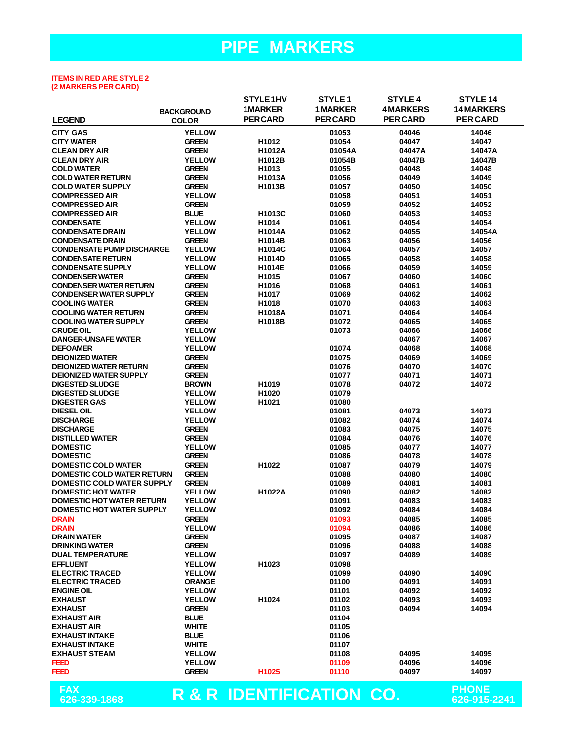#### **ITEMS IN RED ARE STYLE 2 (2 MARKERS PER CARD)**

|                                   |                   | STYLE1HV                 | STYLE <sub>1</sub> | <b>STYLE 4</b>  | STYLE 14                     |
|-----------------------------------|-------------------|--------------------------|--------------------|-----------------|------------------------------|
|                                   | <b>BACKGROUND</b> | <b>1MARKER</b>           | <b>1MARKER</b>     | <b>4MARKERS</b> | <b>14MARKERS</b>             |
| <b>LEGEND</b>                     | <b>COLOR</b>      | <b>PERCARD</b>           | <b>PERCARD</b>     | <b>PER CARD</b> | <b>PER CARD</b>              |
| <b>CITY GAS</b>                   | <b>YELLOW</b>     |                          | 01053              | 04046           | 14046                        |
| <b>CITY WATER</b>                 | <b>GREEN</b>      | H1012                    | 01054              | 04047           | 14047                        |
| <b>CLEAN DRY AIR</b>              | <b>GREEN</b>      | H1012A                   | 01054A             | 04047A          | 14047A                       |
| <b>CLEAN DRY AIR</b>              | <b>YELLOW</b>     | H1012B                   | 01054B             | 04047B          | 14047B                       |
| <b>COLD WATER</b>                 | <b>GREEN</b>      | H1013                    | 01055              | 04048           | 14048                        |
| <b>COLD WATER RETURN</b>          | <b>GREEN</b>      | H1013A                   | 01056              | 04049           | 14049                        |
| <b>COLD WATER SUPPLY</b>          | <b>GREEN</b>      | H1013B                   | 01057              | 04050           | 14050                        |
| <b>COMPRESSED AIR</b>             | <b>YELLOW</b>     |                          | 01058              | 04051           | 14051                        |
| <b>COMPRESSED AIR</b>             | <b>GREEN</b>      |                          | 01059              | 04052           | 14052                        |
| <b>COMPRESSED AIR</b>             | <b>BLUE</b>       | H1013C                   | 01060              | 04053           | 14053                        |
| <b>CONDENSATE</b>                 | <b>YELLOW</b>     | H1014                    | 01061              | 04054           | 14054                        |
| <b>CONDENSATE DRAIN</b>           | <b>YELLOW</b>     | H1014A                   | 01062              | 04055           | 14054A                       |
| <b>CONDENSATE DRAIN</b>           | <b>GREEN</b>      |                          |                    |                 |                              |
| <b>CONDENSATE PUMP DISCHARGE</b>  | <b>YELLOW</b>     | H1014B<br>H1014C         | 01063<br>01064     | 04056<br>04057  | 14056<br>14057               |
|                                   | <b>YELLOW</b>     |                          |                    |                 |                              |
| <b>CONDENSATE RETURN</b>          |                   | H1014D                   | 01065              | 04058           | 14058                        |
| <b>CONDENSATE SUPPLY</b>          | <b>YELLOW</b>     | <b>H1014E</b>            | 01066              | 04059           | 14059                        |
| <b>CONDENSER WATER</b>            | <b>GREEN</b>      | H <sub>1015</sub>        | 01067              | 04060           | 14060                        |
| <b>CONDENSER WATER RETURN</b>     | <b>GREEN</b>      | H1016                    | 01068              | 04061           | 14061                        |
| <b>CONDENSER WATER SUPPLY</b>     | <b>GREEN</b>      | H1017                    | 01069              | 04062           | 14062                        |
| <b>COOLING WATER</b>              | <b>GREEN</b>      | H1018                    | 01070              | 04063           | 14063                        |
| <b>COOLING WATER RETURN</b>       | <b>GREEN</b>      | H1018A                   | 01071              | 04064           | 14064                        |
| <b>COOLING WATER SUPPLY</b>       | <b>GREEN</b>      | H1018B                   | 01072              | 04065           | 14065                        |
| <b>CRUDE OIL</b>                  | <b>YELLOW</b>     |                          | 01073              | 04066           | 14066                        |
| <b>DANGER-UNSAFE WATER</b>        | <b>YELLOW</b>     |                          |                    | 04067           | 14067                        |
| <b>DEFOAMER</b>                   | <b>YELLOW</b>     |                          | 01074              | 04068           | 14068                        |
| <b>DEIONIZED WATER</b>            | <b>GREEN</b>      |                          | 01075              | 04069           | 14069                        |
| <b>DEIONIZED WATER RETURN</b>     | <b>GREEN</b>      |                          | 01076              | 04070           | 14070                        |
| <b>DEIONIZED WATER SUPPLY</b>     | <b>GREEN</b>      |                          | 01077              | 04071           | 14071                        |
| <b>DIGESTED SLUDGE</b>            | <b>BROWN</b>      | H <sub>1019</sub>        | 01078              | 04072           | 14072                        |
| <b>DIGESTED SLUDGE</b>            | <b>YELLOW</b>     | H1020                    | 01079              |                 |                              |
| <b>DIGESTER GAS</b>               | <b>YELLOW</b>     | H1021                    | 01080              |                 |                              |
| <b>DIESEL OIL</b>                 | <b>YELLOW</b>     |                          | 01081              | 04073           | 14073                        |
| <b>DISCHARGE</b>                  | <b>YELLOW</b>     |                          | 01082              | 04074           | 14074                        |
| <b>DISCHARGE</b>                  | <b>GREEN</b>      |                          | 01083              | 04075           | 14075                        |
| <b>DISTILLED WATER</b>            | <b>GREEN</b>      |                          | 01084              | 04076           | 14076                        |
| <b>DOMESTIC</b>                   | <b>YELLOW</b>     |                          | 01085              | 04077           | 14077                        |
| <b>DOMESTIC</b>                   | <b>GREEN</b>      |                          | 01086              | 04078           | 14078                        |
| <b>DOMESTIC COLD WATER</b>        | <b>GREEN</b>      | H1022                    | 01087              | 04079           | 14079                        |
| <b>DOMESTIC COLD WATER RETURN</b> | <b>GREEN</b>      |                          | 01088              | 04080           | 14080                        |
| <b>DOMESTIC COLD WATER SUPPLY</b> | <b>GREEN</b>      |                          | 01089              | 04081           | 14081                        |
| <b>DOMESTIC HOT WATER</b>         | <b>YELLOW</b>     | H1022A                   | 01090              | 04082           | 14082                        |
| <b>DOMESTIC HOT WATER RETURN</b>  | <b>YELLOW</b>     |                          | 01091              | 04083           | 14083                        |
| <b>DOMESTIC HOT WATER SUPPLY</b>  | <b>YELLOW</b>     |                          | 01092              | 04084           | 14084                        |
| <b>DRAIN</b>                      | <b>GREEN</b>      |                          | 01093              | 04085           | 14085                        |
| <b>DRAIN</b>                      | <b>YELLOW</b>     |                          | 01094              | 04086           | 14086                        |
| <b>DRAIN WATER</b>                | <b>GREEN</b>      |                          | 01095              | 04087           | 14087                        |
| <b>DRINKING WATER</b>             | <b>GREEN</b>      |                          | 01096              | 04088           | 14088                        |
| <b>DUAL TEMPERATURE</b>           | <b>YELLOW</b>     |                          | 01097              | 04089           | 14089                        |
| <b>EFFLUENT</b>                   | <b>YELLOW</b>     | H <sub>1023</sub>        | 01098              |                 |                              |
| <b>ELECTRIC TRACED</b>            | <b>YELLOW</b>     |                          | 01099              | 04090           | 14090                        |
| <b>ELECTRIC TRACED</b>            | <b>ORANGE</b>     |                          | 01100              | 04091           | 14091                        |
| <b>ENGINE OIL</b>                 | <b>YELLOW</b>     |                          | 01101              | 04092           | 14092                        |
| <b>EXHAUST</b>                    | <b>YELLOW</b>     | H1024                    | 01102              | 04093           | 14093                        |
| <b>EXHAUST</b>                    | <b>GREEN</b>      |                          | 01103              | 04094           | 14094                        |
| <b>EXHAUST AIR</b>                | <b>BLUE</b>       |                          | 01104              |                 |                              |
| <b>EXHAUST AIR</b>                | <b>WHITE</b>      |                          | 01105              |                 |                              |
| <b>EXHAUST INTAKE</b>             | <b>BLUE</b>       |                          | 01106              |                 |                              |
| <b>EXHAUST INTAKE</b>             | <b>WHITE</b>      |                          | 01107              |                 |                              |
| <b>EXHAUST STEAM</b>              | <b>YELLOW</b>     |                          | 01108              | 04095           | 14095                        |
| <b>FEED</b>                       | <b>YELLOW</b>     |                          | 01109              | 04096           | 14096                        |
| <b>FEED</b>                       | <b>GREEN</b>      | H1025                    | 01110              | 04097           | 14097                        |
|                                   |                   |                          |                    |                 |                              |
| <b>FAX</b><br>626-339-1868        |                   | R & R IDENTIFICATION CO. |                    |                 | <b>PHONE</b><br>626-915-2241 |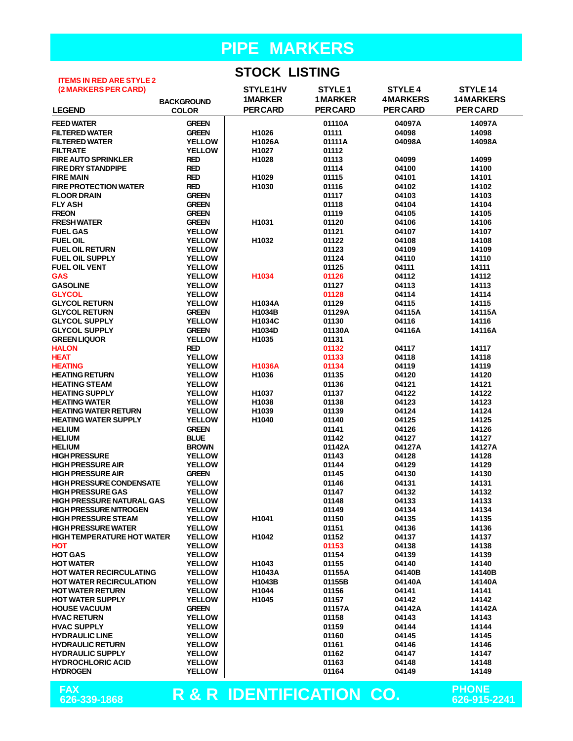#### **STOCK LISTING**

| <b>ITEMS IN RED ARE STYLE 2</b>   |                   | UTTU LIUTTU              |                    |                 |                     |
|-----------------------------------|-------------------|--------------------------|--------------------|-----------------|---------------------|
| (2 MARKERS PER CARD)              |                   | STYLE1HV                 | STYLE <sub>1</sub> | <b>STYLE 4</b>  | STYLE <sub>14</sub> |
|                                   |                   | <b>1MARKER</b>           | <b>1MARKER</b>     | <b>4MARKERS</b> | <b>14MARKERS</b>    |
|                                   | <b>BACKGROUND</b> |                          |                    |                 |                     |
| <b>LEGEND</b>                     | <b>COLOR</b>      | <b>PERCARD</b>           | <b>PERCARD</b>     | <b>PERCARD</b>  | <b>PER CARD</b>     |
| <b>FEED WATER</b>                 | <b>GREEN</b>      |                          | 01110A             | 04097A          | 14097A              |
| <b>FILTERED WATER</b>             | <b>GREEN</b>      | H1026                    | 01111              | 04098           | 14098               |
| <b>FILTERED WATER</b>             | <b>YELLOW</b>     | H1026A                   | 01111A             | 04098A          | 14098A              |
| <b>FILTRATE</b>                   | <b>YELLOW</b>     | H1027                    | 01112              |                 |                     |
| <b>FIRE AUTO SPRINKLER</b>        | <b>RED</b>        | H1028                    | 01113              | 04099           | 14099               |
| <b>FIRE DRY STANDPIPE</b>         | <b>RED</b>        |                          | 01114              | 04100           | 14100               |
| <b>FIRE MAIN</b>                  | <b>RED</b>        | H1029                    | 01115              | 04101           | 14101               |
| <b>FIRE PROTECTION WATER</b>      | <b>RED</b>        | H1030                    | 01116              | 04102           | 14102               |
| <b>FLOOR DRAIN</b>                | <b>GREEN</b>      |                          | 01117              | 04103           | 14103               |
| <b>FLY ASH</b>                    | <b>GREEN</b>      |                          | 01118              | 04104           | 14104               |
| <b>FREON</b>                      | <b>GREEN</b>      |                          | 01119              | 04105           | 14105               |
|                                   |                   |                          |                    |                 |                     |
| <b>FRESH WATER</b>                | <b>GREEN</b>      | H1031                    | 01120              | 04106           | 14106               |
| <b>FUEL GAS</b>                   | <b>YELLOW</b>     |                          | 01121              | 04107           | 14107               |
| <b>FUEL OIL</b>                   | <b>YELLOW</b>     | H1032                    | 01122              | 04108           | 14108               |
| <b>FUEL OIL RETURN</b>            | <b>YELLOW</b>     |                          | 01123              | 04109           | 14109               |
| <b>FUEL OIL SUPPLY</b>            | <b>YELLOW</b>     |                          | 01124              | 04110           | 14110               |
| <b>FUEL OIL VENT</b>              | <b>YELLOW</b>     |                          | 01125              | 04111           | 14111               |
| <b>GAS</b>                        | <b>YELLOW</b>     | H1034                    | 01126              | 04112           | 14112               |
| <b>GASOLINE</b>                   | <b>YELLOW</b>     |                          | 01127              | 04113           | 14113               |
| <b>GLYCOL</b>                     | <b>YELLOW</b>     |                          | 01128              | 04114           | 14114               |
| <b>GLYCOL RETURN</b>              | <b>YELLOW</b>     | <b>H1034A</b>            | 01129              | 04115           | 14115               |
| <b>GLYCOL RETURN</b>              | <b>GREEN</b>      | H1034B                   | 01129A             | 04115A          | 14115A              |
| <b>GLYCOL SUPPLY</b>              | <b>YELLOW</b>     | H1034C                   | 01130              | 04116           | 14116               |
| <b>GLYCOL SUPPLY</b>              | <b>GREEN</b>      | H1034D                   | 01130A             | 04116A          | 14116A              |
| <b>GREEN LIQUOR</b>               | <b>YELLOW</b>     | H1035                    | 01131              |                 |                     |
| <b>HALON</b>                      | <b>RED</b>        |                          | 01132              | 04117           | 14117               |
| <b>HEAT</b>                       | <b>YELLOW</b>     |                          | 01133              | 04118           | 14118               |
| <b>HEATING</b>                    | <b>YELLOW</b>     | <b>H1036A</b>            | 01134              | 04119           | 14119               |
| <b>HEATING RETURN</b>             | <b>YELLOW</b>     | H1036                    | 01135              | 04120           | 14120               |
| <b>HEATING STEAM</b>              | <b>YELLOW</b>     |                          | 01136              | 04121           | 14121               |
| <b>HEATING SUPPLY</b>             | <b>YELLOW</b>     | H1037                    | 01137              | 04122           | 14122               |
| <b>HEATING WATER</b>              | <b>YELLOW</b>     | H1038                    | 01138              | 04123           | 14123               |
| <b>HEATING WATER RETURN</b>       | <b>YELLOW</b>     | H1039                    | 01139              | 04124           | 14124               |
| <b>HEATING WATER SUPPLY</b>       | <b>YELLOW</b>     | H1040                    | 01140              | 04125           | 14125               |
| <b>HELIUM</b>                     | <b>GREEN</b>      |                          | 01141              | 04126           | 14126               |
| <b>HELIUM</b>                     | <b>BLUE</b>       |                          | 01142              | 04127           | 14127               |
| <b>HELIUM</b>                     | <b>BROWN</b>      |                          | 01142A             | 04127A          | 14127A              |
| <b>HIGH PRESSURE</b>              | <b>YELLOW</b>     |                          | 01143              | 04128           | 14128               |
| <b>HIGH PRESSURE AIR</b>          | <b>YELLOW</b>     |                          | 01144              | 04129           | 14129               |
| <b>HIGH PRESSURE AIR</b>          | <b>GREEN</b>      |                          | 01145              | 04130           | 14130               |
| <b>HIGH PRESSURE CONDENSATE</b>   | <b>YELLOW</b>     |                          | 01146              | 04131           | 14131               |
| <b>HIGH PRESSURE GAS</b>          | <b>YELLOW</b>     |                          | 01147              | 04132           | 14132               |
| <b>HIGH PRESSURE NATURAL GAS</b>  | <b>YELLOW</b>     |                          | 01148              | 04133           | 14133               |
| <b>HIGH PRESSURE NITROGEN</b>     | <b>YELLOW</b>     |                          | 01149              | 04134           | 14134               |
| <b>HIGH PRESSURE STEAM</b>        | <b>YELLOW</b>     | H1041                    | 01150              | 04135           | 14135               |
| <b>HIGH PRESSURE WATER</b>        | <b>YELLOW</b>     |                          | 01151              | 04136           | 14136               |
| <b>HIGH TEMPERATURE HOT WATER</b> | <b>YELLOW</b>     | H1042                    | 01152              | 04137           | 14137               |
| <b>HOT</b>                        | <b>YELLOW</b>     |                          | 01153              | 04138           | 14138               |
| <b>HOT GAS</b>                    | <b>YELLOW</b>     |                          | 01154              | 04139           | 14139               |
| <b>HOT WATER</b>                  | <b>YELLOW</b>     | H1043                    | 01155              | 04140           | 14140               |
| <b>HOT WATER RECIRCULATING</b>    | <b>YELLOW</b>     | H1043A                   | 01155A             | 04140B          | 14140B              |
| <b>HOT WATER RECIRCULATION</b>    | <b>YELLOW</b>     | H1043B                   | 01155B             | 04140A          | 14140A              |
| <b>HOT WATER RETURN</b>           | <b>YELLOW</b>     | H1044                    | 01156              | 04141           | 14141               |
| <b>HOT WATER SUPPLY</b>           | <b>YELLOW</b>     | H1045                    | 01157              | 04142           | 14142               |
| <b>HOUSE VACUUM</b>               | <b>GREEN</b>      |                          | 01157A             | 04142A          | 14142A              |
| <b>HVAC RETURN</b>                | <b>YELLOW</b>     |                          | 01158              | 04143           | 14143               |
| <b>HVAC SUPPLY</b>                | <b>YELLOW</b>     |                          | 01159              | 04144           | 14144               |
| <b>HYDRAULIC LINE</b>             | <b>YELLOW</b>     |                          | 01160              | 04145           | 14145               |
| <b>HYDRAULIC RETURN</b>           | <b>YELLOW</b>     |                          | 01161              | 04146           | 14146               |
| <b>HYDRAULIC SUPPLY</b>           | <b>YELLOW</b>     |                          | 01162              | 04147           | 14147               |
| <b>HYDROCHLORIC ACID</b>          | <b>YELLOW</b>     |                          | 01163              | 04148           | 14148               |
| <b>HYDROGEN</b>                   | <b>YELLOW</b>     |                          | 01164              | 04149           | 14149               |
|                                   |                   |                          |                    |                 |                     |
| <b>FAX</b>                        |                   |                          |                    |                 | <b>PHONE</b>        |
| 626-339-1868                      |                   | R & R IDENTIFICATION CO. |                    |                 | 626-915-2241        |
|                                   |                   |                          |                    |                 |                     |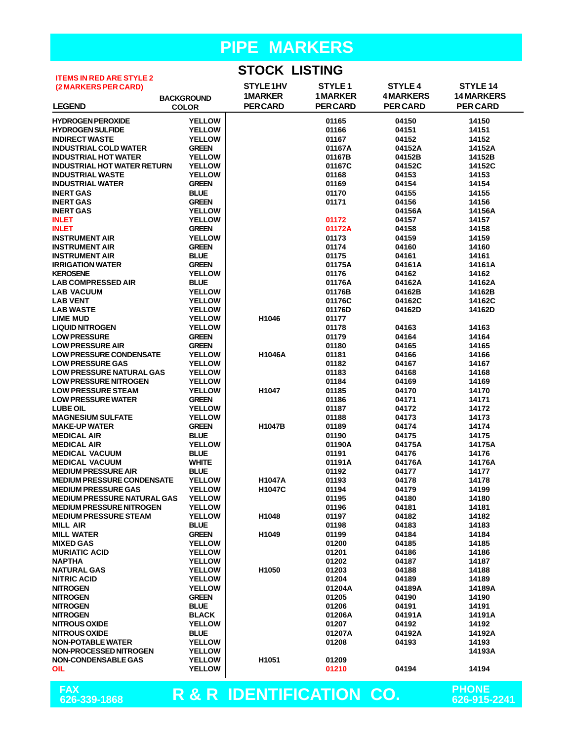### **STOCK LISTING**

| <b>ITEMS IN RED ARE STYLE 2</b>    |                   | טוווטוב מטומט   |                |                 |                  |
|------------------------------------|-------------------|-----------------|----------------|-----------------|------------------|
|                                    |                   | STYLE 1HV       | <b>STYLE 1</b> | <b>STYLE 4</b>  | STYLE 14         |
| (2 MARKERS PER CARD)               |                   |                 |                |                 |                  |
|                                    | <b>BACKGROUND</b> | <b>1MARKER</b>  | <b>1MARKER</b> | <b>4MARKERS</b> | <b>14MARKERS</b> |
| <b>LEGEND</b>                      | <b>COLOR</b>      | <b>PER CARD</b> | <b>PERCARD</b> | <b>PER CARD</b> | <b>PERCARD</b>   |
|                                    |                   |                 |                |                 |                  |
| <b>HYDROGEN PEROXIDE</b>           | <b>YELLOW</b>     |                 | 01165          | 04150           | 14150            |
| <b>HYDROGEN SULFIDE</b>            | <b>YELLOW</b>     |                 | 01166          | 04151           | 14151            |
| <b>INDIRECT WASTE</b>              | <b>YELLOW</b>     |                 | 01167          | 04152           | 14152            |
|                                    |                   |                 |                |                 |                  |
| <b>INDUSTRIAL COLD WATER</b>       | <b>GREEN</b>      |                 | 01167A         | 04152A          | 14152A           |
| <b>INDUSTRIAL HOT WATER</b>        | <b>YELLOW</b>     |                 | 01167B         | 04152B          | 14152B           |
| <b>INDUSTRIAL HOT WATER RETURN</b> | <b>YELLOW</b>     |                 | 01167C         | 04152C          | 14152C           |
| <b>INDUSTRIAL WASTE</b>            | <b>YELLOW</b>     |                 | 01168          | 04153           | 14153            |
| <b>INDUSTRIAL WATER</b>            | <b>GREEN</b>      |                 | 01169          | 04154           | 14154            |
|                                    |                   |                 |                |                 |                  |
| <b>INERT GAS</b>                   | <b>BLUE</b>       |                 | 01170          | 04155           | 14155            |
| <b>INERT GAS</b>                   | <b>GREEN</b>      |                 | 01171          | 04156           | 14156            |
| <b>INERT GAS</b>                   | <b>YELLOW</b>     |                 |                | 04156A          | 14156A           |
| <b>INLET</b>                       | <b>YELLOW</b>     |                 | 01172          | 04157           | 14157            |
| <b>INLET</b>                       | <b>GREEN</b>      |                 | 01172A         | 04158           | 14158            |
|                                    |                   |                 |                |                 |                  |
| <b>INSTRUMENT AIR</b>              | <b>YELLOW</b>     |                 | 01173          | 04159           | 14159            |
| <b>INSTRUMENT AIR</b>              | <b>GREEN</b>      |                 | 01174          | 04160           | 14160            |
| <b>INSTRUMENT AIR</b>              | <b>BLUE</b>       |                 | 01175          | 04161           | 14161            |
| <b>IRRIGATION WATER</b>            | <b>GREEN</b>      |                 | 01175A         | 04161A          | 14161A           |
| <b>KEROSENE</b>                    | <b>YELLOW</b>     |                 | 01176          | 04162           | 14162            |
|                                    |                   |                 |                |                 |                  |
| <b>LAB COMPRESSED AIR</b>          | <b>BLUE</b>       |                 | 01176A         | 04162A          | 14162A           |
| <b>LAB VACUUM</b>                  | <b>YELLOW</b>     |                 | 01176B         | 04162B          | 14162B           |
| <b>LAB VENT</b>                    | <b>YELLOW</b>     |                 | 01176C         | 04162C          | 14162C           |
| <b>LAB WASTE</b>                   | <b>YELLOW</b>     |                 | 01176D         | 04162D          | 14162D           |
| <b>LIME MUD</b>                    | <b>YELLOW</b>     | H1046           | 01177          |                 |                  |
|                                    |                   |                 |                |                 |                  |
| <b>LIQUID NITROGEN</b>             | <b>YELLOW</b>     |                 | 01178          | 04163           | 14163            |
| <b>LOW PRESSURE</b>                | <b>GREEN</b>      |                 | 01179          | 04164           | 14164            |
| <b>LOW PRESSURE AIR</b>            | <b>GREEN</b>      |                 | 01180          | 04165           | 14165            |
| <b>LOW PRESSURE CONDENSATE</b>     | <b>YELLOW</b>     | H1046A          | 01181          | 04166           | 14166            |
| <b>LOW PRESSURE GAS</b>            | <b>YELLOW</b>     |                 | 01182          | 04167           | 14167            |
|                                    | <b>YELLOW</b>     |                 |                |                 |                  |
| <b>LOW PRESSURE NATURAL GAS</b>    |                   |                 | 01183          | 04168           | 14168            |
| <b>LOW PRESSURE NITROGEN</b>       | <b>YELLOW</b>     |                 | 01184          | 04169           | 14169            |
| <b>LOW PRESSURE STEAM</b>          | <b>YELLOW</b>     | H1047           | 01185          | 04170           | 14170            |
| <b>LOW PRESSURE WATER</b>          | <b>GREEN</b>      |                 | 01186          | 04171           | 14171            |
| <b>LUBE OIL</b>                    | <b>YELLOW</b>     |                 | 01187          | 04172           | 14172            |
|                                    |                   |                 |                |                 |                  |
| <b>MAGNESIUM SULFATE</b>           | <b>YELLOW</b>     |                 | 01188          | 04173           | 14173            |
| <b>MAKE-UP WATER</b>               | <b>GREEN</b>      | <b>H1047B</b>   | 01189          | 04174           | 14174            |
| <b>MEDICAL AIR</b>                 | <b>BLUE</b>       |                 | 01190          | 04175           | 14175            |
| <b>MEDICAL AIR</b>                 | <b>YELLOW</b>     |                 | 01190A         | 04175A          | 14175A           |
| <b>MEDICAL VACUUM</b>              | <b>BLUE</b>       |                 | 01191          | 04176           | 14176            |
|                                    |                   |                 |                |                 |                  |
| <b>MEDICAL VACUUM</b>              | <b>WHITE</b>      |                 | 01191A         | 04176A          | 14176A           |
| <b>MEDIUM PRESSURE AIR</b>         | <b>BLUE</b>       |                 | 01192          | 04177           | 14177            |
| <b>MEDIUM PRESSURE CONDENSATE</b>  | <b>YELLOW</b>     | <b>H1047A</b>   | 01193          | 04178           | 14178            |
| <b>MEDIUM PRESSURE GAS</b>         | <b>YELLOW</b>     | H1047C          | 01194          | 04179           | 14199            |
| <b>MEDIUM PRESSURE NATURAL GAS</b> | <b>YELLOW</b>     |                 | 01195          | 04180           | 14180            |
| <b>MEDIUM PRESSURE NITROGEN</b>    | <b>YELLOW</b>     |                 | 01196          | 04181           | 14181            |
|                                    |                   |                 |                |                 |                  |
| <b>MEDIUM PRESSURE STEAM</b>       | <b>YELLOW</b>     | H1048           | 01197          | 04182           | 14182            |
| <b>MILL AIR</b>                    | <b>BLUE</b>       |                 | 01198          | 04183           | 14183            |
| <b>MILL WATER</b>                  | <b>GREEN</b>      | H1049           | 01199          | 04184           | 14184            |
| <b>MIXED GAS</b>                   | <b>YELLOW</b>     |                 | 01200          | 04185           | 14185            |
| <b>MURIATIC ACID</b>               | <b>YELLOW</b>     |                 | 01201          | 04186           | 14186            |
|                                    |                   |                 |                |                 |                  |
| <b>NAPTHA</b>                      | <b>YELLOW</b>     |                 | 01202          | 04187           | 14187            |
| <b>NATURAL GAS</b>                 | <b>YELLOW</b>     | H1050           | 01203          | 04188           | 14188            |
| <b>NITRIC ACID</b>                 | <b>YELLOW</b>     |                 | 01204          | 04189           | 14189            |
| <b>NITROGEN</b>                    | <b>YELLOW</b>     |                 | 01204A         | 04189A          | 14189A           |
| <b>NITROGEN</b>                    | <b>GREEN</b>      |                 | 01205          | 04190           | 14190            |
|                                    |                   |                 |                |                 |                  |
| <b>NITROGEN</b>                    | <b>BLUE</b>       |                 | 01206          | 04191           | 14191            |
| <b>NITROGEN</b>                    | <b>BLACK</b>      |                 | 01206A         | 04191A          | 14191A           |
| <b>NITROUS OXIDE</b>               | <b>YELLOW</b>     |                 | 01207          | 04192           | 14192            |
| <b>NITROUS OXIDE</b>               | <b>BLUE</b>       |                 | 01207A         | 04192A          | 14192A           |
| <b>NON-POTABLE WATER</b>           | <b>YELLOW</b>     |                 | 01208          | 04193           | 14193            |
|                                    |                   |                 |                |                 |                  |
| <b>NON-PROCESSED NITROGEN</b>      | <b>YELLOW</b>     |                 |                |                 | 14193A           |
| <b>NON-CONDENSABLE GAS</b>         | <b>YELLOW</b>     | H1051           | 01209          |                 |                  |
| <b>OIL</b>                         | <b>YELLOW</b>     |                 | 01210          | 04194           | 14194            |
|                                    |                   |                 |                |                 |                  |

FAX<br>626-339-1868

**R & R IDENTIFICATION CO. PHONE 626-339-1868 626-915-2241**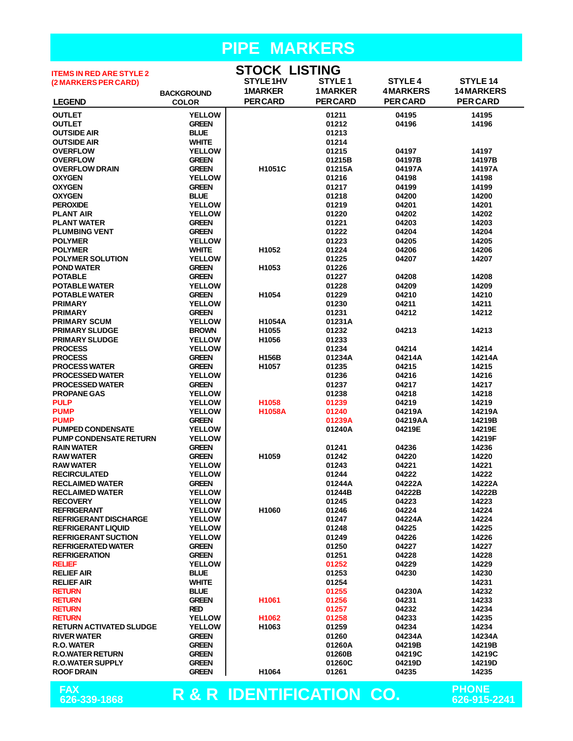| <b>ITEMS IN RED ARE STYLE 2</b>                    |                                | <b>STOCK LISTING</b>     |                    |                 |                              |
|----------------------------------------------------|--------------------------------|--------------------------|--------------------|-----------------|------------------------------|
| (2 MARKERS PER CARD)                               |                                | STYLE 1HV                | STYLE <sub>1</sub> | <b>STYLE4</b>   | <b>STYLE 14</b>              |
|                                                    | <b>BACKGROUND</b>              | <b>1MARKER</b>           | <b>1 MARKER</b>    | <b>4MARKERS</b> | <b>14 MARKERS</b>            |
| <b>LEGEND</b>                                      | <b>COLOR</b>                   | <b>PER CARD</b>          | <b>PERCARD</b>     | <b>PER CARD</b> | <b>PERCARD</b>               |
| <b>OUTLET</b>                                      | <b>YELLOW</b>                  |                          | 01211              | 04195           | 14195                        |
| <b>OUTLET</b>                                      | <b>GREEN</b>                   |                          | 01212              | 04196           | 14196                        |
| <b>OUTSIDE AIR</b><br><b>OUTSIDE AIR</b>           | <b>BLUE</b><br><b>WHITE</b>    |                          | 01213<br>01214     |                 |                              |
| <b>OVERFLOW</b>                                    | <b>YELLOW</b>                  |                          | 01215              | 04197           | 14197                        |
| <b>OVERFLOW</b>                                    | <b>GREEN</b>                   |                          | 01215B             | 04197B          | 14197B                       |
| <b>OVERFLOW DRAIN</b>                              | <b>GREEN</b>                   | H1051C                   | 01215A             | 04197A          | 14197A                       |
| <b>OXYGEN</b>                                      | <b>YELLOW</b>                  |                          | 01216              | 04198           | 14198                        |
| <b>OXYGEN</b>                                      | <b>GREEN</b>                   |                          | 01217              | 04199           | 14199                        |
| <b>OXYGEN</b>                                      | <b>BLUE</b>                    |                          | 01218              | 04200           | 14200                        |
| <b>PEROXIDE</b>                                    | <b>YELLOW</b><br><b>YELLOW</b> |                          | 01219<br>01220     | 04201<br>04202  | 14201<br>14202               |
| <b>PLANT AIR</b><br><b>PLANT WATER</b>             | <b>GREEN</b>                   |                          | 01221              | 04203           | 14203                        |
| <b>PLUMBING VENT</b>                               | <b>GREEN</b>                   |                          | 01222              | 04204           | 14204                        |
| <b>POLYMER</b>                                     | <b>YELLOW</b>                  |                          | 01223              | 04205           | 14205                        |
| <b>POLYMER</b>                                     | <b>WHITE</b>                   | H <sub>1052</sub>        | 01224              | 04206           | 14206                        |
| <b>POLYMER SOLUTION</b>                            | <b>YELLOW</b>                  |                          | 01225              | 04207           | 14207                        |
| <b>POND WATER</b>                                  | <b>GREEN</b>                   | H <sub>1053</sub>        | 01226              |                 |                              |
| <b>POTABLE</b>                                     | <b>GREEN</b>                   |                          | 01227              | 04208           | 14208                        |
| <b>POTABLE WATER</b><br><b>POTABLE WATER</b>       | <b>YELLOW</b><br><b>GREEN</b>  | H <sub>1054</sub>        | 01228<br>01229     | 04209<br>04210  | 14209<br>14210               |
| <b>PRIMARY</b>                                     | <b>YELLOW</b>                  |                          | 01230              | 04211           | 14211                        |
| <b>PRIMARY</b>                                     | <b>GREEN</b>                   |                          | 01231              | 04212           | 14212                        |
| <b>PRIMARY SCUM</b>                                | <b>YELLOW</b>                  | <b>H1054A</b>            | 01231A             |                 |                              |
| <b>PRIMARY SLUDGE</b>                              | <b>BROWN</b>                   | H <sub>1055</sub>        | 01232              | 04213           | 14213                        |
| <b>PRIMARY SLUDGE</b>                              | <b>YELLOW</b>                  | H1056                    | 01233              |                 |                              |
| <b>PROCESS</b>                                     | <b>YELLOW</b>                  |                          | 01234              | 04214           | 14214                        |
| <b>PROCESS</b>                                     | <b>GREEN</b>                   | H156B                    | 01234A             | 04214A          | 14214A                       |
| <b>PROCESS WATER</b><br><b>PROCESSED WATER</b>     | <b>GREEN</b><br><b>YELLOW</b>  | H1057                    | 01235<br>01236     | 04215<br>04216  | 14215<br>14216               |
| <b>PROCESSED WATER</b>                             | <b>GREEN</b>                   |                          | 01237              | 04217           | 14217                        |
| <b>PROPANE GAS</b>                                 | <b>YELLOW</b>                  |                          | 01238              | 04218           | 14218                        |
| <b>PULP</b>                                        | <b>YELLOW</b>                  | H1058                    | 01239              | 04219           | 14219                        |
| <b>PUMP</b>                                        | <b>YELLOW</b>                  | <b>H1058A</b>            | 01240              | 04219A          | 14219A                       |
| <b>PUMP</b>                                        | <b>GREEN</b>                   |                          | 01239A             | 04219AA         | 14219B                       |
| <b>PUMPED CONDENSATE</b>                           | <b>YELLOW</b>                  |                          | 01240A             | 04219E          | 14219E                       |
| <b>PUMP CONDENSATE RETURN</b><br><b>RAIN WATER</b> | <b>YELLOW</b><br><b>GREEN</b>  |                          | 01241              | 04236           | 14219F<br>14236              |
| <b>RAW WATER</b>                                   | <b>GREEN</b>                   | H <sub>1059</sub>        | 01242              | 04220           | 14220                        |
| <b>RAW WATER</b>                                   | <b>YELLOW</b>                  |                          | 01243              | 04221           | 14221                        |
| <b>RECIRCULATED</b>                                | <b>YELLOW</b>                  |                          | 01244              | 04222           | 14222                        |
| <b>RECLAIMED WATER</b>                             | <b>GREEN</b>                   |                          | 01244A             | 04222A          | 14222A                       |
| <b>RECLAIMED WATER</b>                             | <b>YELLOW</b>                  |                          | 01244B             | 04222B          | 14222B                       |
| <b>RECOVERY</b>                                    | <b>YELLOW</b>                  |                          | 01245              | 04223           | 14223                        |
| <b>REFRIGERANT</b><br><b>REFRIGERANT DISCHARGE</b> | <b>YELLOW</b><br><b>YELLOW</b> | H1060                    | 01246<br>01247     | 04224<br>04224A | 14224<br>14224               |
| <b>REFRIGERANT LIQUID</b>                          | <b>YELLOW</b>                  |                          | 01248              | 04225           | 14225                        |
| <b>REFRIGERANT SUCTION</b>                         | <b>YELLOW</b>                  |                          | 01249              | 04226           | 14226                        |
| <b>REFRIGERATED WATER</b>                          | <b>GREEN</b>                   |                          | 01250              | 04227           | 14227                        |
| <b>REFRIGERATION</b>                               | <b>GREEN</b>                   |                          | 01251              | 04228           | 14228                        |
| <b>RELIEF</b>                                      | <b>YELLOW</b>                  |                          | 01252              | 04229           | 14229                        |
| <b>RELIEF AIR</b>                                  | <b>BLUE</b>                    |                          | 01253              | 04230           | 14230                        |
| <b>RELIEF AIR</b>                                  | <b>WHITE</b>                   |                          | 01254              |                 | 14231<br>14232               |
| <b>RETURN</b><br><b>RETURN</b>                     | <b>BLUE</b><br><b>GREEN</b>    | H1061                    | 01255<br>01256     | 04230A<br>04231 | 14233                        |
| <b>RETURN</b>                                      | <b>RED</b>                     |                          | 01257              | 04232           | 14234                        |
| <b>RETURN</b>                                      | <b>YELLOW</b>                  | H1062                    | 01258              | 04233           | 14235                        |
| <b>RETURN ACTIVATED SLUDGE</b>                     | <b>YELLOW</b>                  | H <sub>1063</sub>        | 01259              | 04234           | 14234                        |
| <b>RIVER WATER</b>                                 | <b>GREEN</b>                   |                          | 01260              | 04234A          | 14234A                       |
| R.O. WATER                                         | <b>GREEN</b>                   |                          | 01260A             | 04219B          | 14219B                       |
| <b>R.O.WATER RETURN</b>                            | <b>GREEN</b>                   |                          | 01260B             | 04219C          | 14219C                       |
| <b>R.O.WATER SUPPLY</b><br><b>ROOF DRAIN</b>       | <b>GREEN</b><br><b>GREEN</b>   | H <sub>1064</sub>        | 01260C<br>01261    | 04219D<br>04235 | 14219D<br>14235              |
|                                                    |                                |                          |                    |                 |                              |
| FAX<br>626-339-1868                                |                                | R & R IDENTIFICATION CO. |                    |                 | <b>PHONE</b><br>626-915-2241 |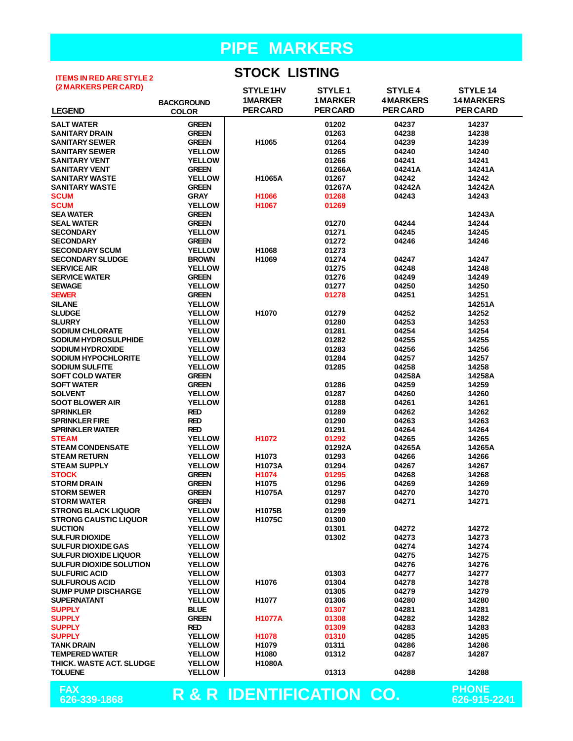#### **ITEMS IN RED ARE STYLE 2 (2 MARKERS PER CARD)**

#### **STOCK LISTING**

| (Z MARNERS PER CARD)           |                   | STYLE1HV                            | STYLE <sub>1</sub> | <b>STYLE 4</b>  | STYLE 14          |
|--------------------------------|-------------------|-------------------------------------|--------------------|-----------------|-------------------|
|                                | <b>BACKGROUND</b> | <b>1MARKER</b>                      | <b>1MARKER</b>     | <b>4MARKERS</b> | <b>14 MARKERS</b> |
| <b>LEGEND</b>                  | <b>COLOR</b>      | <b>PERCARD</b>                      | <b>PERCARD</b>     | <b>PERCARD</b>  | <b>PER CARD</b>   |
| <b>SALT WATER</b>              | <b>GREEN</b>      |                                     | 01202              | 04237           | 14237             |
| <b>SANITARY DRAIN</b>          | <b>GREEN</b>      |                                     | 01263              | 04238           | 14238             |
| <b>SANITARY SEWER</b>          | <b>GREEN</b>      | H1065                               | 01264              | 04239           | 14239             |
| <b>SANITARY SEWER</b>          | <b>YELLOW</b>     |                                     | 01265              | 04240           | 14240             |
| <b>SANITARY VENT</b>           | <b>YELLOW</b>     |                                     | 01266              | 04241           | 14241             |
| <b>SANITARY VENT</b>           | <b>GREEN</b>      |                                     | 01266A             | 04241A          | 14241A            |
| <b>SANITARY WASTE</b>          | <b>YELLOW</b>     | H1065A                              | 01267              | 04242           | 14242             |
| <b>SANITARY WASTE</b>          | <b>GREEN</b>      |                                     | 01267A             | 04242A          | 14242A            |
| <b>SCUM</b>                    | <b>GRAY</b>       | H1066                               | 01268              | 04243           | 14243             |
| <b>SCUM</b>                    | <b>YELLOW</b>     | H1067                               | 01269              |                 |                   |
| <b>SEA WATER</b>               | <b>GREEN</b>      |                                     |                    |                 | 14243A            |
| <b>SEAL WATER</b>              | <b>GREEN</b>      |                                     | 01270              | 04244           | 14244             |
| <b>SECONDARY</b>               | <b>YELLOW</b>     |                                     | 01271              | 04245           | 14245             |
| <b>SECONDARY</b>               | <b>GREEN</b>      |                                     | 01272              | 04246           | 14246             |
|                                |                   |                                     |                    |                 |                   |
| <b>SECONDARY SCUM</b>          | <b>YELLOW</b>     | H1068                               | 01273              |                 |                   |
| <b>SECONDARY SLUDGE</b>        | <b>BROWN</b>      | H1069                               | 01274<br>01275     | 04247<br>04248  | 14247<br>14248    |
| <b>SERVICE AIR</b>             | <b>YELLOW</b>     |                                     |                    |                 |                   |
| <b>SERVICE WATER</b>           | <b>GREEN</b>      |                                     | 01276              | 04249<br>04250  | 14249<br>14250    |
| <b>SEWAGE</b>                  | <b>YELLOW</b>     |                                     | 01277              |                 |                   |
| <b>SEWER</b>                   | <b>GREEN</b>      |                                     | 01278              | 04251           | 14251             |
| <b>SILANE</b>                  | <b>YELLOW</b>     |                                     |                    |                 | 14251A            |
| <b>SLUDGE</b>                  | <b>YELLOW</b>     | H1070                               | 01279              | 04252           | 14252             |
| <b>SLURRY</b>                  | <b>YELLOW</b>     |                                     | 01280              | 04253           | 14253             |
| <b>SODIUM CHLORATE</b>         | <b>YELLOW</b>     |                                     | 01281              | 04254           | 14254             |
| SODIUM HYDROSULPHIDE           | <b>YELLOW</b>     |                                     | 01282              | 04255           | 14255             |
| <b>SODIUM HYDROXIDE</b>        | <b>YELLOW</b>     |                                     | 01283              | 04256           | 14256             |
| <b>SODIUM HYPOCHLORITE</b>     | <b>YELLOW</b>     |                                     | 01284              | 04257           | 14257             |
| <b>SODIUM SULFITE</b>          | <b>YELLOW</b>     |                                     | 01285              | 04258           | 14258             |
| <b>SOFT COLD WATER</b>         | <b>GREEN</b>      |                                     |                    | 04258A          | 14258A            |
| <b>SOFT WATER</b>              | <b>GREEN</b>      |                                     | 01286              | 04259           | 14259             |
| <b>SOLVENT</b>                 | <b>YELLOW</b>     |                                     | 01287              | 04260           | 14260             |
| <b>SOOT BLOWER AIR</b>         | <b>YELLOW</b>     |                                     | 01288              | 04261           | 14261             |
| <b>SPRINKLER</b>               | <b>RED</b>        |                                     | 01289              | 04262           | 14262             |
| <b>SPRINKLER FIRE</b>          | <b>RED</b>        |                                     | 01290              | 04263           | 14263             |
| <b>SPRINKLER WATER</b>         | <b>RED</b>        |                                     | 01291              | 04264           | 14264             |
| <b>STEAM</b>                   | <b>YELLOW</b>     | H <sub>1072</sub>                   | 01292              | 04265           | 14265             |
| <b>STEAM CONDENSATE</b>        | <b>YELLOW</b>     |                                     | 01292A             | 04265A          | 14265A            |
| <b>STEAM RETURN</b>            | <b>YELLOW</b>     | H <sub>1073</sub>                   | 01293              | 04266           | 14266             |
| <b>STEAM SUPPLY</b>            | <b>YELLOW</b>     | H1073A                              | 01294              | 04267           | 14267             |
| <b>STOCK</b>                   | <b>GREEN</b>      | H1074                               | 01295              | 04268           | 14268             |
| <b>STORM DRAIN</b>             | <b>GREEN</b>      | H <sub>1075</sub>                   | 01296              | 04269           | 14269             |
| <b>STORM SEWER</b>             | <b>GREEN</b>      | H1075A                              | 01297              | 04270           | 14270             |
| <b>STORM WATER</b>             | <b>GREEN</b>      |                                     | 01298              | 04271           | 14271             |
| <b>STRONG BLACK LIQUOR</b>     | <b>YELLOW</b>     | <b>H1075B</b>                       | 01299              |                 |                   |
| <b>STRONG CAUSTIC LIQUOR</b>   | <b>YELLOW</b>     | H1075C                              | 01300              |                 |                   |
| <b>SUCTION</b>                 | <b>YELLOW</b>     |                                     | 01301              | 04272           | 14272             |
| <b>SULFUR DIOXIDE</b>          | <b>YELLOW</b>     |                                     | 01302              | 04273           | 14273             |
| <b>SULFUR DIOXIDE GAS</b>      | <b>YELLOW</b>     |                                     |                    | 04274           | 14274             |
| <b>SULFUR DIOXIDE LIQUOR</b>   | <b>YELLOW</b>     |                                     |                    | 04275           | 14275             |
| <b>SULFUR DIOXIDE SOLUTION</b> | <b>YELLOW</b>     |                                     |                    | 04276           | 14276             |
| <b>SULFURIC ACID</b>           | <b>YELLOW</b>     |                                     | 01303              | 04277           | 14277             |
| <b>SULFUROUS ACID</b>          | <b>YELLOW</b>     | H1076                               | 01304              | 04278           | 14278             |
| <b>SUMP PUMP DISCHARGE</b>     | <b>YELLOW</b>     |                                     | 01305              | 04279           | 14279             |
| <b>SUPERNATANT</b>             | <b>YELLOW</b>     | H1077                               | 01306              | 04280           | 14280             |
| <b>SUPPLY</b>                  | <b>BLUE</b>       |                                     | 01307              | 04281           | 14281             |
| <b>SUPPLY</b>                  | <b>GREEN</b>      | <b>H1077A</b>                       | 01308              | 04282           | 14282             |
| <b>SUPPLY</b>                  | <b>RED</b>        |                                     | 01309              | 04283           | 14283             |
| <b>SUPPLY</b>                  | <b>YELLOW</b>     | H1078                               | 01310              | 04285           | 14285             |
| <b>TANK DRAIN</b>              | <b>YELLOW</b>     | H1079                               | 01311              | 04286           | 14286             |
| <b>TEMPERED WATER</b>          | <b>YELLOW</b>     | H1080                               | 01312              | 04287           | 14287             |
| THICK. WASTE ACT. SLUDGE       | <b>YELLOW</b>     | <b>H1080A</b>                       |                    |                 |                   |
| <b>TOLUENE</b>                 | <b>YELLOW</b>     |                                     | 01313              | 04288           | 14288             |
| <b>FAX</b>                     |                   |                                     |                    |                 | <b>PHONE</b>      |
| 626-339-1868                   |                   | <b>R &amp; R IDENTIFICATION CO.</b> |                    |                 | 626-915-2241      |
|                                |                   |                                     |                    |                 |                   |